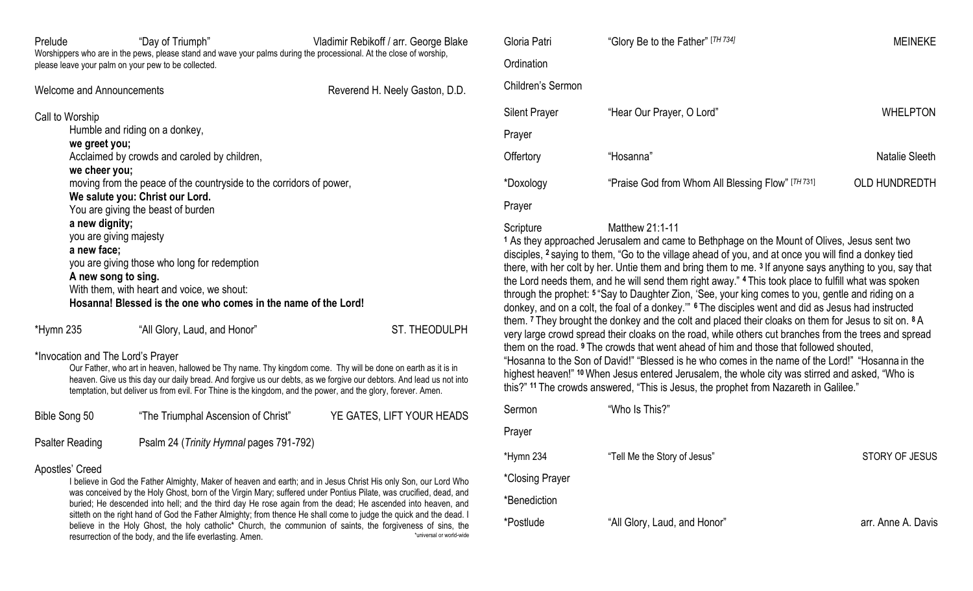| Prelude                                                                                                                             | "Day of Triumph"<br>please leave your palm on your pew to be collected.                                                                                                                                                                                                                                                                                                                        | Vladimir Rebikoff / arr. George Blake<br>Worshippers who are in the pews, please stand and wave your palms during the processional. At the close of worship, |  |
|-------------------------------------------------------------------------------------------------------------------------------------|------------------------------------------------------------------------------------------------------------------------------------------------------------------------------------------------------------------------------------------------------------------------------------------------------------------------------------------------------------------------------------------------|--------------------------------------------------------------------------------------------------------------------------------------------------------------|--|
| Welcome and Announcements                                                                                                           |                                                                                                                                                                                                                                                                                                                                                                                                | Reverend H. Neely Gaston, D.D.                                                                                                                               |  |
| Call to Worship<br>we greet you;<br>we cheer you;<br>a new dignity;<br>you are giving majesty<br>a new face;<br>A new song to sing. | Humble and riding on a donkey,<br>Acclaimed by crowds and caroled by children,<br>moving from the peace of the countryside to the corridors of power,<br>We salute you: Christ our Lord.<br>You are giving the beast of burden<br>you are giving those who long for redemption<br>With them, with heart and voice, we shout:<br>Hosanna! Blessed is the one who comes in the name of the Lord! |                                                                                                                                                              |  |
| *Hymn 235                                                                                                                           | "All Glory, Laud, and Honor"                                                                                                                                                                                                                                                                                                                                                                   | ST. THEODULPH                                                                                                                                                |  |
| *Invocation and The Lord's Prayer                                                                                                   |                                                                                                                                                                                                                                                                                                                                                                                                | Our Father, who art in heaven, hallowed be Thy name. Thy kingdom come. Thy will be done on earth as it is in                                                 |  |

Our Father, who art in heaven, hallowed be Thy name. Thy kingdom come. Thy will be done on earth as it is in heaven. Give us this day our daily bread. And forgive us our debts, as we forgive our debtors. And lead us not into temptation, but deliver us from evil. For Thine is the kingdom, and the power, and the glory, forever. Amen.

| Bible Song 50          | "The Triumphal Ascension of Christ"     | YE GATES, LIFT YOUR HEADS |
|------------------------|-----------------------------------------|---------------------------|
| <b>Psalter Reading</b> | Psalm 24 (Trinity Hymnal pages 791-792) |                           |

### Apostles' Creed

I believe in God the Father Almighty, Maker of heaven and earth; and in Jesus Christ His only Son, our Lord Who was conceived by the Holy Ghost, born of the Virgin Mary; suffered under Pontius Pilate, was crucified, dead, and buried; He descended into hell; and the third day He rose again from the dead; He ascended into heaven, and sitteth on the right hand of God the Father Almighty; from thence He shall come to judge the quick and the dead. I believe in the Holy Ghost, the holy catholic\* Church, the communion of saints, the forgiveness of sins, the resurrection of the body, and the life everlasting. Amen. \*universal or world-wide

| Gloria Patri         | "Glory Be to the Father" [TH 734]                 | <b>MEINEKE</b>       |
|----------------------|---------------------------------------------------|----------------------|
| Ordination           |                                                   |                      |
| Children's Sermon    |                                                   |                      |
| <b>Silent Prayer</b> | "Hear Our Prayer, O Lord"                         | <b>WHELPTON</b>      |
| Prayer               |                                                   |                      |
| Offertory            | "Hosanna"                                         | Natalie Sleeth       |
| *Doxology            | "Praise God from Whom All Blessing Flow" [TH 731] | <b>OLD HUNDREDTH</b> |
| Prayer               |                                                   |                      |

## Scripture Matthew 21:1-11

**<sup>1</sup>** As they approached Jerusalem and came to Bethphage on the Mount of Olives, Jesus sent two disciples, **<sup>2</sup>** saying to them, "Go to the village ahead of you, and at once you will find a donkey tied there, with her colt by her. Untie them and bring them to me. **<sup>3</sup>** If anyone says anything to you, say that the Lord needs them, and he will send them right away." **<sup>4</sup>** This took place to fulfill what was spoken through the prophet: **<sup>5</sup>** "Say to Daughter Zion, 'See, your king comes to you, gentle and riding on a donkey, and on a colt, the foal of a donkey.'" **<sup>6</sup>** The disciples went and did as Jesus had instructed them. **<sup>7</sup>** They brought the donkey and the colt and placed their cloaks on them for Jesus to sit on. **<sup>8</sup>** A very large crowd spread their cloaks on the road, while others cut branches from the trees and spread them on the road. **<sup>9</sup>** The crowds that went ahead of him and those that followed shouted, "Hosanna to the Son of David!" "Blessed is he who comes in the name of the Lord!" "Hosanna in the highest heaven!" **<sup>10</sup>**When Jesus entered Jerusalem, the whole city was stirred and asked, "Who is this?" **<sup>11</sup>** The crowds answered, "This is Jesus, the prophet from Nazareth in Galilee."

| Sermon          | "Who Is This?"               |                       |
|-----------------|------------------------------|-----------------------|
| Prayer          |                              |                       |
| *Hymn 234       | "Tell Me the Story of Jesus" | <b>STORY OF JESUS</b> |
| *Closing Prayer |                              |                       |
| *Benediction    |                              |                       |
| *Postlude       | "All Glory, Laud, and Honor" | arr. Anne A. Davis    |